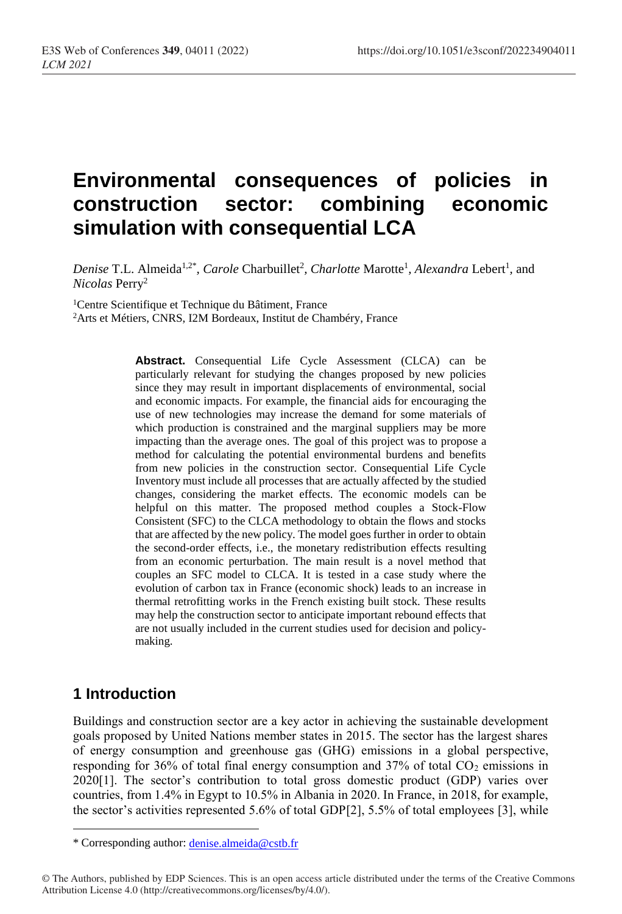# **Environmental consequences of policies in construction sector: combining economic simulation with consequential LCA**

*Denise* T.L. Almeida<sup>1,2\*</sup>, *Carole* Charbuillet<sup>2</sup>, *Charlotte* Marotte<sup>1</sup>, *Alexandra* Lebert<sup>1</sup>, and *Nicolas* Perry<sup>2</sup>

<sup>1</sup>Centre Scientifique et Technique du Bâtiment, France

<sup>2</sup>Arts et Métiers, CNRS, I2M Bordeaux, Institut de Chambéry, France

**Abstract.** Consequential Life Cycle Assessment (CLCA) can be particularly relevant for studying the changes proposed by new policies since they may result in important displacements of environmental, social and economic impacts. For example, the financial aids for encouraging the use of new technologies may increase the demand for some materials of which production is constrained and the marginal suppliers may be more impacting than the average ones. The goal of this project was to propose a method for calculating the potential environmental burdens and benefits from new policies in the construction sector. Consequential Life Cycle Inventory must include all processes that are actually affected by the studied changes, considering the market effects. The economic models can be helpful on this matter. The proposed method couples a Stock-Flow Consistent (SFC) to the CLCA methodology to obtain the flows and stocks that are affected by the new policy. The model goes further in order to obtain the second-order effects, i.e., the monetary redistribution effects resulting from an economic perturbation. The main result is a novel method that couples an SFC model to CLCA. It is tested in a case study where the evolution of carbon tax in France (economic shock) leads to an increase in thermal retrofitting works in the French existing built stock. These results may help the construction sector to anticipate important rebound effects that are not usually included in the current studies used for decision and policymaking.

## **1 Introduction**

 $\overline{a}$ 

Buildings and construction sector are a key actor in achieving the sustainable development goals proposed by United Nations member states in 2015. The sector has the largest shares of energy consumption and greenhouse gas (GHG) emissions in a global perspective, responding for  $36\%$  of total final energy consumption and  $37\%$  of total CO<sub>2</sub> emissions in 2020[1]. The sector's contribution to total gross domestic product (GDP) varies over countries, from 1.4% in Egypt to 10.5% in Albania in 2020. In France, in 2018, for example, the sector's activities represented 5.6% of total GDP[2], 5.5% of total employees [3], while

<sup>\*</sup> Corresponding author: [denise.almeida@cstb.fr](mailto:denise.almeida@cstb.fr)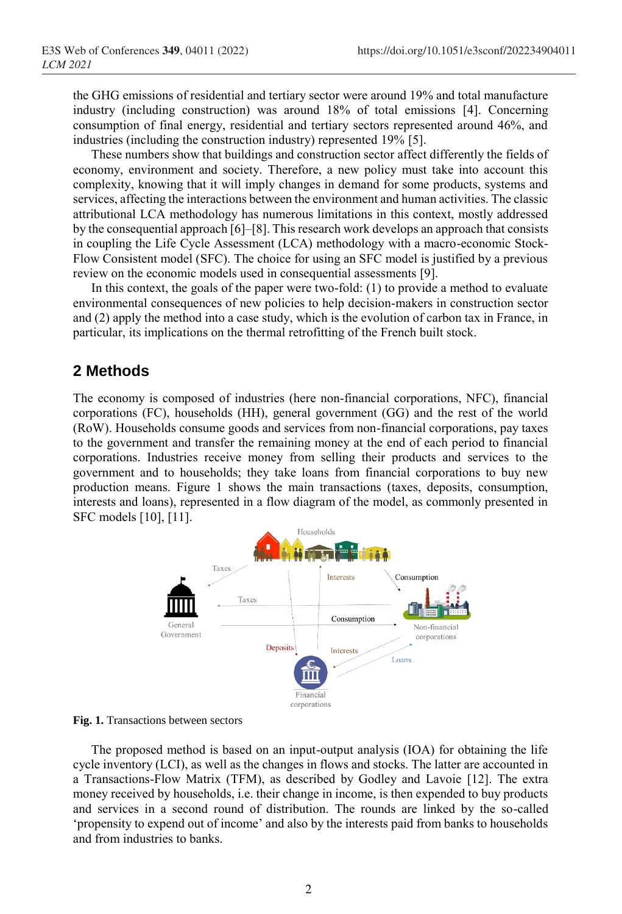the GHG emissions of residential and tertiary sector were around 19% and total manufacture industry (including construction) was around 18% of total emissions [4]. Concerning consumption of final energy, residential and tertiary sectors represented around 46%, and industries (including the construction industry) represented 19% [5].

These numbers show that buildings and construction sector affect differently the fields of economy, environment and society. Therefore, a new policy must take into account this complexity, knowing that it will imply changes in demand for some products, systems and services, affecting the interactions between the environment and human activities. The classic attributional LCA methodology has numerous limitations in this context, mostly addressed by the consequential approach [6]–[8]. This research work develops an approach that consists in coupling the Life Cycle Assessment (LCA) methodology with a macro-economic Stock-Flow Consistent model (SFC). The choice for using an SFC model is justified by a previous review on the economic models used in consequential assessments [9].

In this context, the goals of the paper were two-fold: (1) to provide a method to evaluate environmental consequences of new policies to help decision-makers in construction sector and (2) apply the method into a case study, which is the evolution of carbon tax in France, in particular, its implications on the thermal retrofitting of the French built stock.

#### **2 Methods**

The economy is composed of industries (here non-financial corporations, NFC), financial corporations (FC), households (HH), general government (GG) and the rest of the world (RoW). Households consume goods and services from non-financial corporations, pay taxes to the government and transfer the remaining money at the end of each period to financial corporations. Industries receive money from selling their products and services to the government and to households; they take loans from financial corporations to buy new production means. Figure 1 shows the main transactions (taxes, deposits, consumption, interests and loans), represented in a flow diagram of the model, as commonly presented in SFC models [10], [11].



**Fig. 1.** Transactions between sectors

The proposed method is based on an input-output analysis (IOA) for obtaining the life cycle inventory (LCI), as well as the changes in flows and stocks. The latter are accounted in a Transactions-Flow Matrix (TFM), as described by Godley and Lavoie [12]. The extra money received by households, i.e. their change in income, is then expended to buy products and services in a second round of distribution. The rounds are linked by the so-called 'propensity to expend out of income' and also by the interests paid from banks to households and from industries to banks.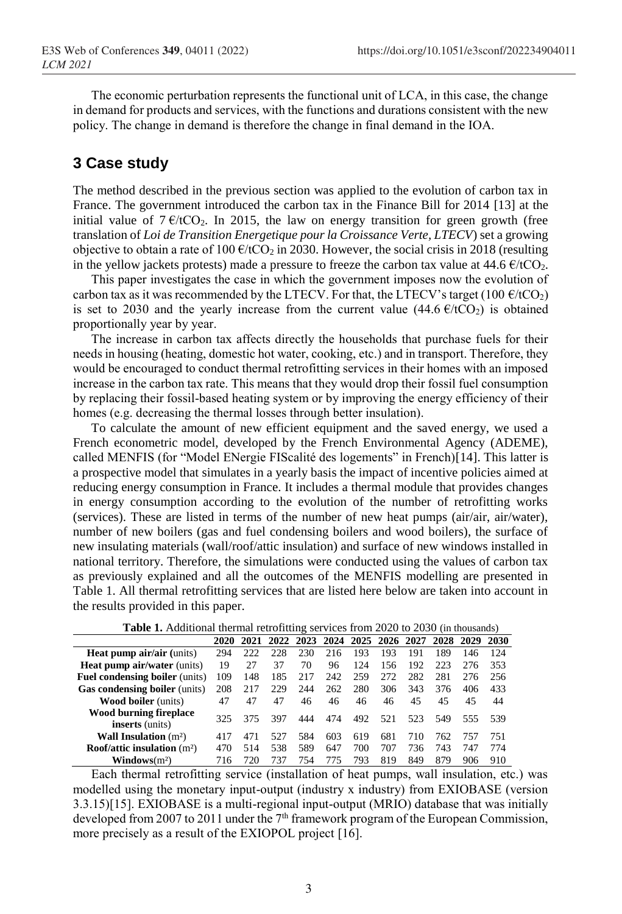The economic perturbation represents the functional unit of LCA, in this case, the change in demand for products and services, with the functions and durations consistent with the new policy. The change in demand is therefore the change in final demand in the IOA.

## **3 Case study**

The method described in the previous section was applied to the evolution of carbon tax in France. The government introduced the carbon tax in the Finance Bill for 2014 [13] at the initial value of  $7 \text{ }\epsilon/\text{tCO}_2$ . In 2015, the law on energy transition for green growth (free translation of *Loi de Transition Energetique pour la Croissance Verte, LTECV*) set a growing objective to obtain a rate of 100  $\epsilon$ /tCO<sub>2</sub> in 2030. However, the social crisis in 2018 (resulting in the yellow jackets protests) made a pressure to freeze the carbon tax value at  $44.6 \text{ }\epsilon/\text{tCO}_2$ .

This paper investigates the case in which the government imposes now the evolution of carbon tax as it was recommended by the LTECV. For that, the LTECV's target (100  $\ell$ /tCO<sub>2</sub>) is set to 2030 and the yearly increase from the current value  $(44.6 \text{ }\epsilon/\text{tCO}_2)$  is obtained proportionally year by year.

The increase in carbon tax affects directly the households that purchase fuels for their needs in housing (heating, domestic hot water, cooking, etc.) and in transport. Therefore, they would be encouraged to conduct thermal retrofitting services in their homes with an imposed increase in the carbon tax rate. This means that they would drop their fossil fuel consumption by replacing their fossil-based heating system or by improving the energy efficiency of their homes (e.g. decreasing the thermal losses through better insulation).

To calculate the amount of new efficient equipment and the saved energy, we used a French econometric model, developed by the French Environmental Agency (ADEME), called MENFIS (for "Model ENergie FIScalité des logements" in French)[14]. This latter is a prospective model that simulates in a yearly basis the impact of incentive policies aimed at reducing energy consumption in France. It includes a thermal module that provides changes in energy consumption according to the evolution of the number of retrofitting works (services). These are listed in terms of the number of new heat pumps (air/air, air/water), number of new boilers (gas and fuel condensing boilers and wood boilers), the surface of new insulating materials (wall/roof/attic insulation) and surface of new windows installed in national territory. Therefore, the simulations were conducted using the values of carbon tax as previously explained and all the outcomes of the MENFIS modelling are presented in Table 1. All thermal retrofitting services that are listed here below are taken into account in the results provided in this paper.

|                                                  | 2020 | 2021 | 2022 | 2023 | 2024 | 2025 | 2026 | 2027 | 2028 | 2029 | 2030 |
|--------------------------------------------------|------|------|------|------|------|------|------|------|------|------|------|
| <b>Heat pump air/air (units)</b>                 | 294  | 222  | 228  | 230  | 216  | 193  | 193  | 191  | 189  | 146  | 124  |
| <b>Heat pump air/water (units)</b>               | 19   | 27   | 37   | 70   | 96   | 124  | 156  | 192  | 223  | 276  | 353  |
| <b>Fuel condensing boiler</b> (units)            | 109  | 148  | 185  | 217  | 242  | 259  | 272  | 282  | 281  | 276  | 256  |
| <b>Gas condensing boiler</b> (units)             | 208  | 217  | 229  | 244  | 262  | 280  | 306  | 343  | 376  | 406  | 433  |
| <b>Wood boiler</b> (units)                       | 47   | 47   | 47   | 46   | 46   | 46   | 46   | 45   | 45   | 45   | 44   |
| Wood burning fireplace<br><b>inserts</b> (units) | 325  | 375  | 397  | 444  | 474  | 492  | 521  | 523  | 549  | 555  | 539  |
| <b>Wall Insulation</b> $(m^2)$                   | 417  | 471  | 527  | 584  | 603  | 619  | 681  | 710  | 762  | 757  | 751  |
| Roof/attic insulation $(m2)$                     | 470  | 514  | 538  | 589  | 647  | 700  | 707  | 736  | 743  | 747  | 774  |
| $\textbf{Windows}(m^2)$                          | 716  | 720  | 737  | 754  | 775  | 793  | 819  | 849  | 879  | 906  | 910  |

Each thermal retrofitting service (installation of heat pumps, wall insulation, etc.) was modelled using the monetary input-output (industry x industry) from EXIOBASE (version 3.3.15)[15]. EXIOBASE is a multi-regional input-output (MRIO) database that was initially developed from 2007 to 2011 under the  $7<sup>th</sup>$  framework program of the European Commission, more precisely as a result of the EXIOPOL project [16].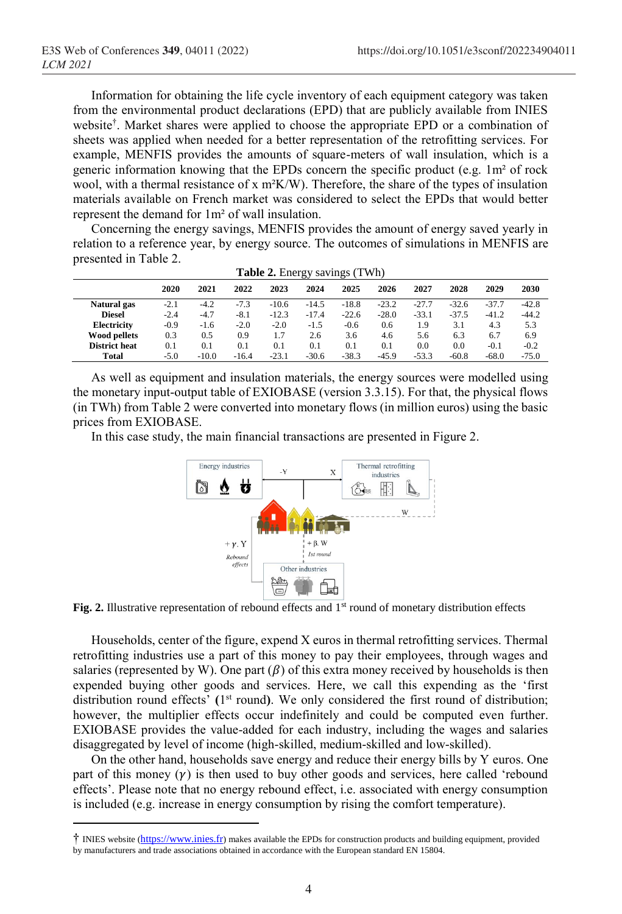$\overline{a}$ 

Information for obtaining the life cycle inventory of each equipment category was taken from the environmental product declarations (EPD) that are publicly available from INIES website† . Market shares were applied to choose the appropriate EPD or a combination of sheets was applied when needed for a better representation of the retrofitting services. For example, MENFIS provides the amounts of square-meters of wall insulation, which is a generic information knowing that the EPDs concern the specific product (e.g.  $1m<sup>2</sup>$  of rock wool, with a thermal resistance of x  $m^2K/W$ ). Therefore, the share of the types of insulation materials available on French market was considered to select the EPDs that would better represent the demand for 1m² of wall insulation.

Concerning the energy savings, MENFIS provides the amount of energy saved yearly in relation to a reference year, by energy source. The outcomes of simulations in MENFIS are presented in Table 2.

|                      |        |         |         |         | ິ       | ▱       |         |         |         |         |         |
|----------------------|--------|---------|---------|---------|---------|---------|---------|---------|---------|---------|---------|
|                      | 2020   | 2021    | 2022    | 2023    | 2024    | 2025    | 2026    | 2027    | 2028    | 2029    | 2030    |
| Natural gas          | $-2.1$ | $-4.2$  | $-7.3$  | $-10.6$ | $-14.5$ | $-18.8$ | $-23.2$ | $-27.7$ | $-32.6$ | $-37.7$ | $-42.8$ |
| <b>Diesel</b>        | $-2.4$ | $-4.7$  | $-8.1$  | $-12.3$ | $-17.4$ | $-22.6$ | $-28.0$ | $-33.1$ | $-37.5$ | $-41.2$ | $-44.2$ |
| <b>Electricity</b>   | $-0.9$ | $-1.6$  | $-2.0$  | $-2.0$  | $-1.5$  | $-0.6$  | 0.6     | 1.9     | 3.1     | 4.3     | 5.3     |
| <b>Wood pellets</b>  | 0.3    | 0.5     | 0.9     | 1.7     | 2.6     | 3.6     | 4.6     | 5.6     | 6.3     | 6.7     | 6.9     |
| <b>District heat</b> | 0.1    | 0.1     | 0.1     | 0.1     | 0.1     | 0.1     | 0.1     | 0.0     | 0.0     | $-0.1$  | $-0.2$  |
| Total                | $-5.0$ | $-10.0$ | $-16.4$ | $-23.1$ | $-30.6$ | $-38.3$ | $-45.9$ | $-53.3$ | $-60.8$ | $-68.0$ | $-75.0$ |
|                      |        |         |         |         |         |         |         |         |         |         |         |

|  | <b>Table 2.</b> Energy savings (TWh) |  |  |  |
|--|--------------------------------------|--|--|--|
|--|--------------------------------------|--|--|--|

As well as equipment and insulation materials, the energy sources were modelled using the monetary input-output table of EXIOBASE (version 3.3.15). For that, the physical flows (in TWh) from Table 2 were converted into monetary flows (in million euros) using the basic prices from EXIOBASE.

In this case study, the main financial transactions are presented in Figure 2.



**Fig. 2.** Illustrative representation of rebound effects and  $1<sup>st</sup>$  round of monetary distribution effects

Households, center of the figure, expend X euros in thermal retrofitting services. Thermal retrofitting industries use a part of this money to pay their employees, through wages and salaries (represented by W). One part  $(\beta)$  of this extra money received by households is then expended buying other goods and services. Here, we call this expending as the 'first distribution round effects' **(**1 st round**)**. We only considered the first round of distribution; however, the multiplier effects occur indefinitely and could be computed even further. EXIOBASE provides the value-added for each industry, including the wages and salaries disaggregated by level of income (high-skilled, medium-skilled and low-skilled).

On the other hand, households save energy and reduce their energy bills by Y euros. One part of this money  $(y)$  is then used to buy other goods and services, here called 'rebound effects'. Please note that no energy rebound effect, i.e. associated with energy consumption is included (e.g. increase in energy consumption by rising the comfort temperature).

<sup>†</sup> INIES website ([https://www.inies.fr](https://www.inies.fr/)) makes available the EPDs for construction products and building equipment, provided by manufacturers and trade associations obtained in accordance with the European standard EN 15804.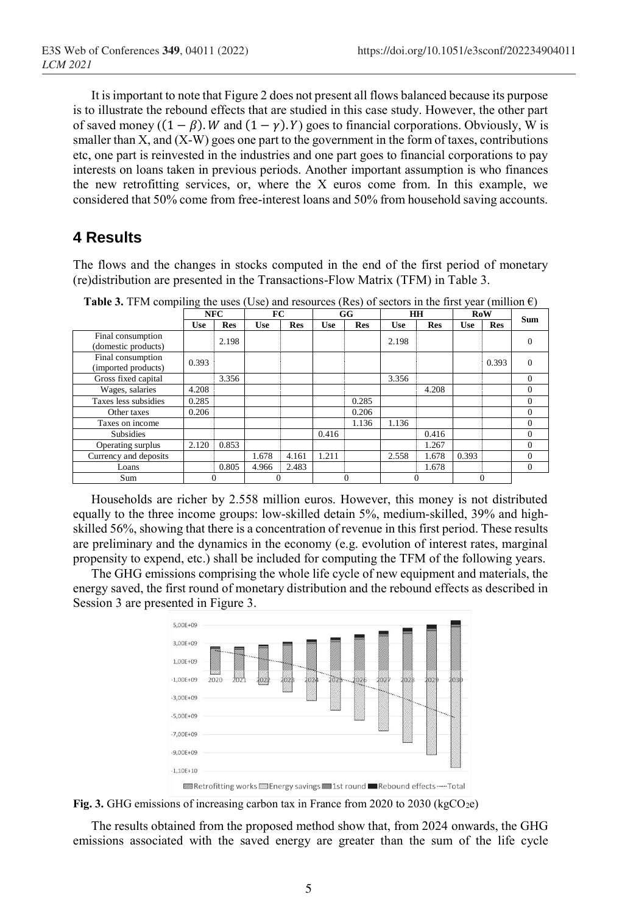It is important to note that Figure 2 does not present all flows balanced because its purpose is to illustrate the rebound effects that are studied in this case study. However, the other part of saved money ( $(1 - \beta)$ . *W* and  $(1 - \gamma)$ . *Y*) goes to financial corporations. Obviously, W is smaller than X, and (X-W) goes one part to the government in the form of taxes, contributions etc, one part is reinvested in the industries and one part goes to financial corporations to pay interests on loans taken in previous periods. Another important assumption is who finances the new retrofitting services, or, where the  $X$  euros come from. In this example, we considered that 50% come from free-interest loans and 50% from household saving accounts.

## **4 Results**

The flows and the changes in stocks computed in the end of the first period of monetary (re)distribution are presented in the Transactions-Flow Matrix (TFM) in Table 3.

|                                          | <b>NFC</b> |            | FC         |            | GG    |            | HH         |            | <b>RoW</b> |            | <b>Sum</b> |  |
|------------------------------------------|------------|------------|------------|------------|-------|------------|------------|------------|------------|------------|------------|--|
|                                          | <b>Use</b> | <b>Res</b> | <b>Use</b> | <b>Res</b> | Use   | <b>Res</b> | <b>Use</b> | <b>Res</b> | <b>Use</b> | <b>Res</b> |            |  |
| Final consumption<br>(domestic products) |            | 2.198      |            |            |       |            | 2.198      |            |            |            |            |  |
| Final consumption<br>(imported products) | 0.393      |            |            |            |       |            |            |            |            | 0.393      | 0          |  |
| Gross fixed capital                      |            | 3.356      |            |            |       |            | 3.356      |            |            |            | $\Omega$   |  |
| Wages, salaries                          | 4.208      |            |            |            |       |            |            | 4.208      |            |            | $\Omega$   |  |
| Taxes less subsidies                     | 0.285      |            |            |            |       | 0.285      |            |            |            |            | $\Omega$   |  |
| Other taxes                              | 0.206      |            |            |            |       | 0.206      |            |            |            |            | $\Omega$   |  |
| Taxes on income                          |            |            |            |            |       | 1.136      | 1.136      |            |            |            | $\Omega$   |  |
| <b>Subsidies</b>                         |            |            |            |            | 0.416 |            |            | 0.416      |            |            | $\Omega$   |  |
| Operating surplus                        | 2.120      | 0.853      |            |            |       |            |            | 1.267      |            |            | $\Omega$   |  |
| Currency and deposits                    |            |            | 1.678      | 4.161      | 1.211 |            | 2.558      | 1.678      | 0.393      |            | $\Omega$   |  |
| Loans                                    |            | 0.805      | 4.966      | 2.483      |       |            |            | 1.678      |            |            | $\Omega$   |  |
| Sum                                      |            | $\Omega$   | 0          |            |       | $\Omega$   |            | 0          |            | $\Omega$   |            |  |

**Table 3.** TFM compiling the uses (Use) and resources (Res) of sectors in the first year (million  $\epsilon$ )

Households are richer by 2.558 million euros. However, this money is not distributed equally to the three income groups: low-skilled detain 5%, medium-skilled, 39% and highskilled 56%, showing that there is a concentration of revenue in this first period. These results are preliminary and the dynamics in the economy (e.g. evolution of interest rates, marginal propensity to expend, etc.) shall be included for computing the TFM of the following years.

The GHG emissions comprising the whole life cycle of new equipment and materials, the energy saved, the first round of monetary distribution and the rebound effects as described in Session 3 are presented in Figure 3.



Fig. 3. GHG emissions of increasing carbon tax in France from 2020 to 2030 (kgCO<sub>2e</sub>)

The results obtained from the proposed method show that, from 2024 onwards, the GHG emissions associated with the saved energy are greater than the sum of the life cycle